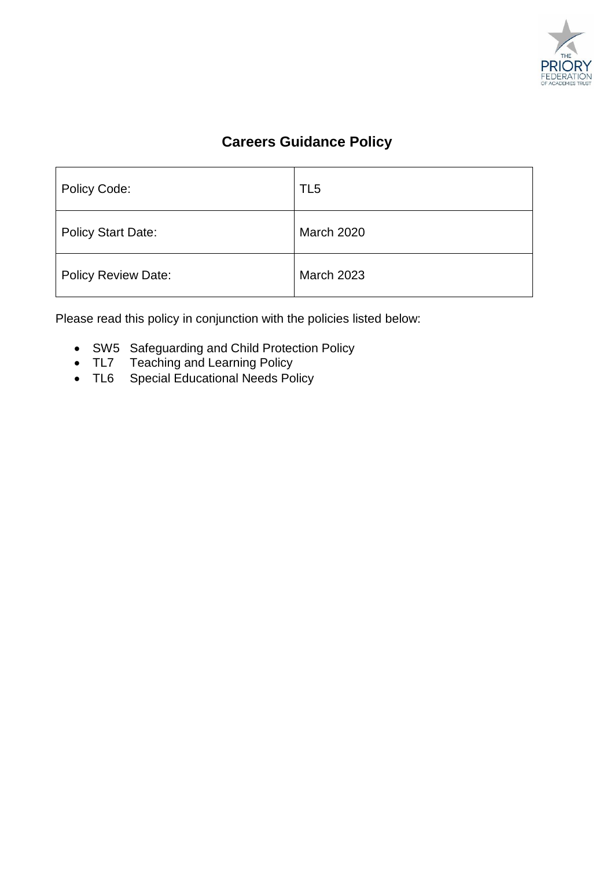

# **Careers Guidance Policy**

| Policy Code:               | TL <sub>5</sub>   |
|----------------------------|-------------------|
| <b>Policy Start Date:</b>  | <b>March 2020</b> |
| <b>Policy Review Date:</b> | <b>March 2023</b> |

Please read this policy in conjunction with the policies listed below:

- SW5 Safeguarding and Child Protection Policy
- TL7 Teaching and Learning Policy
- TL6 Special Educational Needs Policy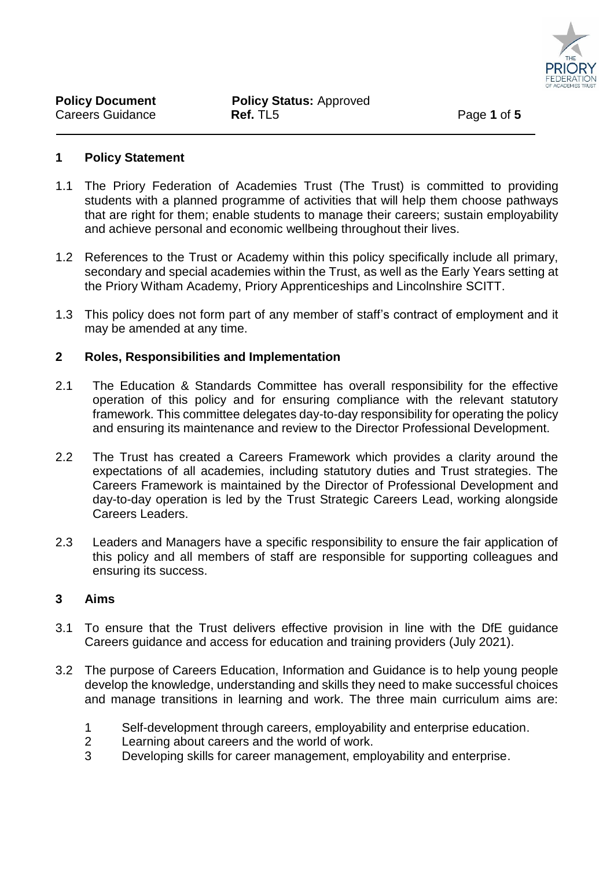

#### **1 Policy Statement**

- 1.1 The Priory Federation of Academies Trust (The Trust) is committed to providing students with a planned programme of activities that will help them choose pathways that are right for them; enable students to manage their careers; sustain employability and achieve personal and economic wellbeing throughout their lives.
- 1.2 References to the Trust or Academy within this policy specifically include all primary, secondary and special academies within the Trust, as well as the Early Years setting at the Priory Witham Academy, Priory Apprenticeships and Lincolnshire SCITT.
- 1.3 This policy does not form part of any member of staff's contract of employment and it may be amended at any time.

#### **2 Roles, Responsibilities and Implementation**

- 2.1 The Education & Standards Committee has overall responsibility for the effective operation of this policy and for ensuring compliance with the relevant statutory framework. This committee delegates day-to-day responsibility for operating the policy and ensuring its maintenance and review to the Director Professional Development.
- 2.2 The Trust has created a Careers Framework which provides a clarity around the expectations of all academies, including statutory duties and Trust strategies. The Careers Framework is maintained by the Director of Professional Development and day-to-day operation is led by the Trust Strategic Careers Lead, working alongside Careers Leaders.
- 2.3 Leaders and Managers have a specific responsibility to ensure the fair application of this policy and all members of staff are responsible for supporting colleagues and ensuring its success.

#### **3 Aims**

- 3.1 To ensure that the Trust delivers effective provision in line with the DfE guidance Careers guidance and access for education and training providers (July 2021).
- 3.2 The purpose of Careers Education, Information and Guidance is to help young people develop the knowledge, understanding and skills they need to make successful choices and manage transitions in learning and work. The three main curriculum aims are:
	- 1 Self-development through careers, employability and enterprise education.
	- 2 Learning about careers and the world of work.
	- 3 Developing skills for career management, employability and enterprise.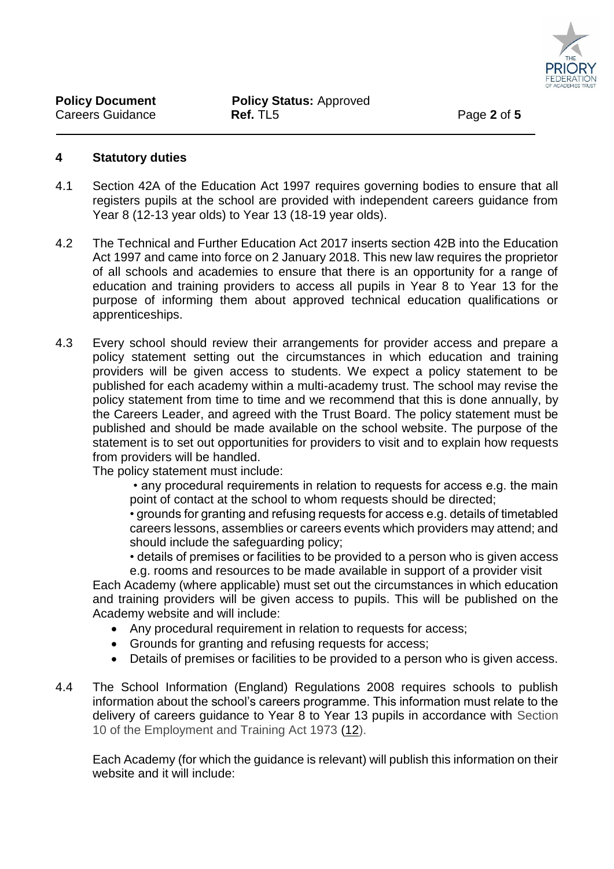

#### **4 Statutory duties**

- 4.1 Section 42A of the Education Act 1997 requires governing bodies to ensure that all registers pupils at the school are provided with independent careers guidance from Year 8 (12-13 year olds) to Year 13 (18-19 year olds).
- 4.2 The Technical and Further Education Act 2017 inserts section 42B into the Education Act 1997 and came into force on 2 January 2018. This new law requires the proprietor of all schools and academies to ensure that there is an opportunity for a range of education and training providers to access all pupils in Year 8 to Year 13 for the purpose of informing them about approved technical education qualifications or apprenticeships.
- 4.3 Every school should review their arrangements for provider access and prepare a policy statement setting out the circumstances in which education and training providers will be given access to students. We expect a policy statement to be published for each academy within a multi-academy trust. The school may revise the policy statement from time to time and we recommend that this is done annually, by the Careers Leader, and agreed with the Trust Board. The policy statement must be published and should be made available on the school website. The purpose of the statement is to set out opportunities for providers to visit and to explain how requests from providers will be handled.

The policy statement must include:

• any procedural requirements in relation to requests for access e.g. the main point of contact at the school to whom requests should be directed;

• grounds for granting and refusing requests for access e.g. details of timetabled careers lessons, assemblies or careers events which providers may attend; and should include the safeguarding policy;

• details of premises or facilities to be provided to a person who is given access e.g. rooms and resources to be made available in support of a provider visit

Each Academy (where applicable) must set out the circumstances in which education and training providers will be given access to pupils. This will be published on the Academy website and will include:

- Any procedural requirement in relation to requests for access;
- Grounds for granting and refusing requests for access;
- Details of premises or facilities to be provided to a person who is given access.
- 4.4 The School Information (England) Regulations 2008 requires schools to publish information about the school's careers programme. This information must relate to the delivery of careers guidance to Year 8 to Year 13 pupils in accordance with Section 10 of the Employment and Training Act 1973 [\(12\)](https://www.legislation.gov.uk/uksi/2008/3093/made#f00012).

Each Academy (for which the guidance is relevant) will publish this information on their website and it will include: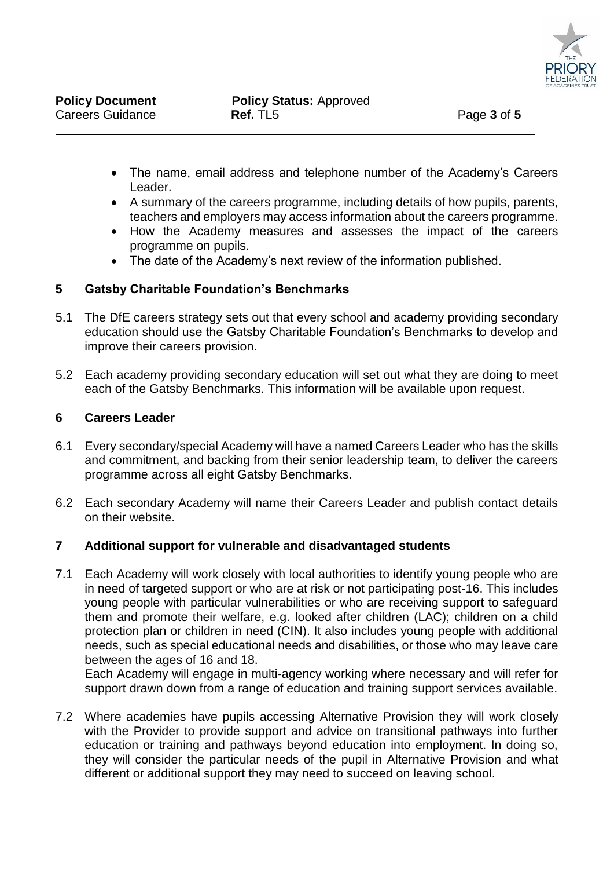

- The name, email address and telephone number of the Academy's Careers Leader.
- A summary of the careers programme, including details of how pupils, parents, teachers and employers may access information about the careers programme.
- How the Academy measures and assesses the impact of the careers programme on pupils.
- The date of the Academy's next review of the information published.

## **5 Gatsby Charitable Foundation's Benchmarks**

- 5.1 The DfE careers strategy sets out that every school and academy providing secondary education should use the Gatsby Charitable Foundation's Benchmarks to develop and improve their careers provision.
- 5.2 Each academy providing secondary education will set out what they are doing to meet each of the Gatsby Benchmarks. This information will be available upon request.

#### **6 Careers Leader**

- 6.1 Every secondary/special Academy will have a named Careers Leader who has the skills and commitment, and backing from their senior leadership team, to deliver the careers programme across all eight Gatsby Benchmarks.
- 6.2 Each secondary Academy will name their Careers Leader and publish contact details on their website.

#### **7 Additional support for vulnerable and disadvantaged students**

7.1 Each Academy will work closely with local authorities to identify young people who are in need of targeted support or who are at risk or not participating post-16. This includes young people with particular vulnerabilities or who are receiving support to safeguard them and promote their welfare, e.g. looked after children (LAC); children on a child protection plan or children in need (CIN). It also includes young people with additional needs, such as special educational needs and disabilities, or those who may leave care between the ages of 16 and 18.

Each Academy will engage in multi-agency working where necessary and will refer for support drawn down from a range of education and training support services available.

7.2 Where academies have pupils accessing Alternative Provision they will work closely with the Provider to provide support and advice on transitional pathways into further education or training and pathways beyond education into employment. In doing so, they will consider the particular needs of the pupil in Alternative Provision and what different or additional support they may need to succeed on leaving school.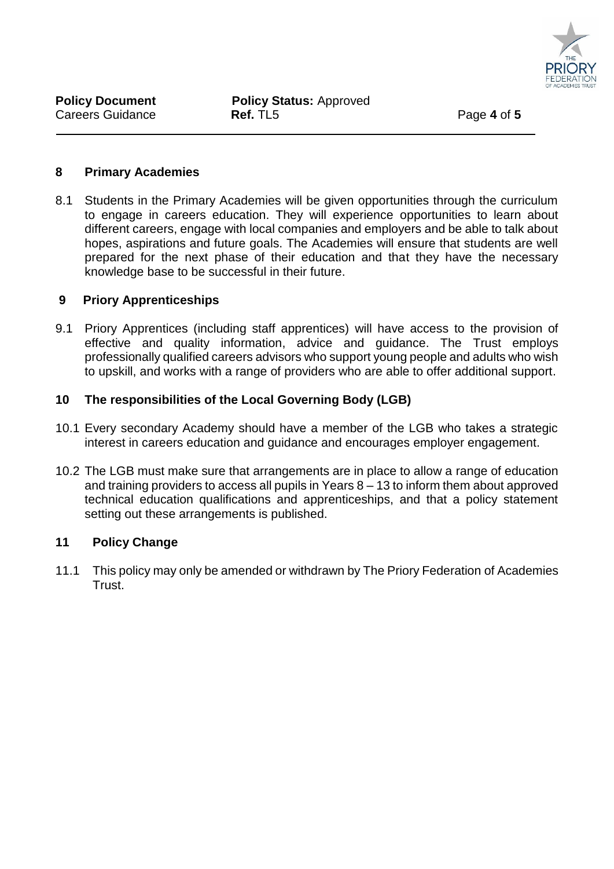

#### **8 Primary Academies**

8.1 Students in the Primary Academies will be given opportunities through the curriculum to engage in careers education. They will experience opportunities to learn about different careers, engage with local companies and employers and be able to talk about hopes, aspirations and future goals. The Academies will ensure that students are well prepared for the next phase of their education and that they have the necessary knowledge base to be successful in their future.

## **9 Priory Apprenticeships**

9.1 Priory Apprentices (including staff apprentices) will have access to the provision of effective and quality information, advice and guidance. The Trust employs professionally qualified careers advisors who support young people and adults who wish to upskill, and works with a range of providers who are able to offer additional support.

# **10 The responsibilities of the Local Governing Body (LGB)**

- 10.1 Every secondary Academy should have a member of the LGB who takes a strategic interest in careers education and guidance and encourages employer engagement.
- 10.2 The LGB must make sure that arrangements are in place to allow a range of education and training providers to access all pupils in Years 8 – 13 to inform them about approved technical education qualifications and apprenticeships, and that a policy statement setting out these arrangements is published.

# **11 Policy Change**

11.1 This policy may only be amended or withdrawn by The Priory Federation of Academies Trust.